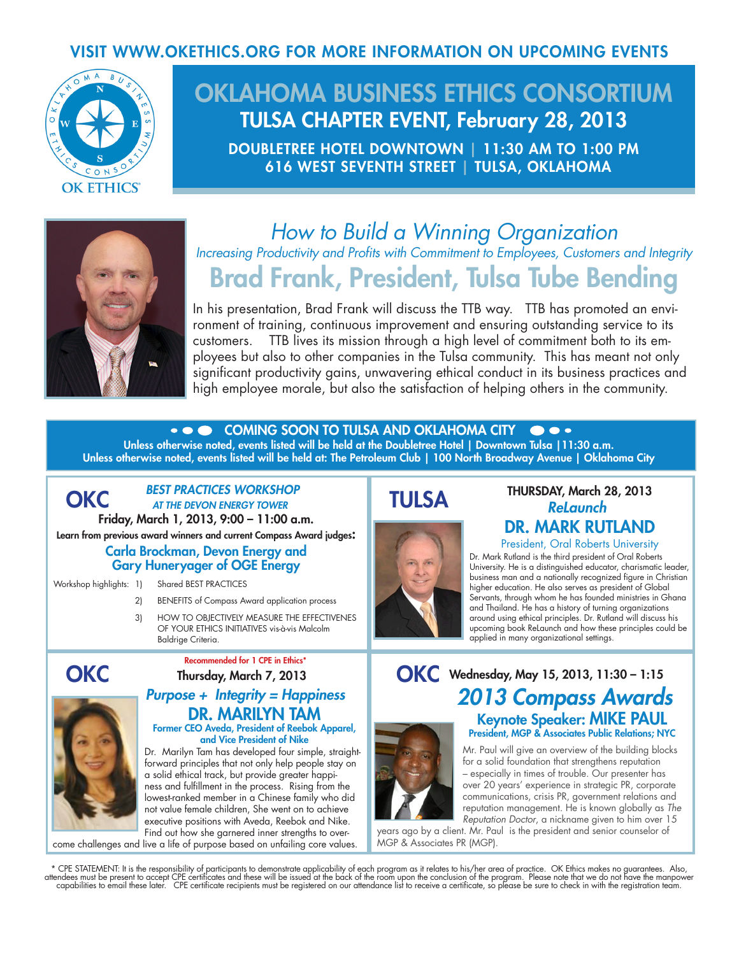# VISIT WWW.OKETHICS.ORG FOR MORE INFORMATION ON UPCOMING EVENTS



# OKLAHOMA BUSINESS ETHICS CONSORTIUM TULSA CHAPTER EVENT, February 28, 2013

DOUBLETREE HOTEL DOWNTOWN | 11:30 AM TO 1:00 PM 616 WEST SEVENTH STREET | TULSA, OKLAHOMA



# *How to Build a Winning Organization Increasing Productivity and Profits with Commitment to Employees, Customers and Integrity* Brad Frank, President, Tulsa Tube Bending

In his presentation, Brad Frank will discuss the TTB way. TTB has promoted an environment of training, continuous improvement and ensuring outstanding service to its customers. TTB lives its mission through a high level of commitment both to its employees but also to other companies in the Tulsa community. This has meant not only significant productivity gains, unwavering ethical conduct in its business practices and high employee morale, but also the satisfaction of helping others in the community.

COMING SOON TO TULSA AND OKLAHOMA CITY

Unless otherwise noted, events listed will be held at the Doubletree Hotel | Downtown Tulsa |11:30 a.m. Unless otherwise noted, events listed will be held at: The Petroleum Club | 100 North Broadway Avenue | Oklahoma City

### *BEST PRACTICES WORKSHOP* **OKC** AT THE DEVON ENERGY TOWER **TULSA** Friday, March 1, 2013, 9:00 – 11:00 a.m. Learn from previous award winners and current Compass Award judges: Carla Brockman, Devon Energy and Gary Huneryager of OGE Energy

Workshop highlights: 1) Shared BEST PRACTICES

- 2) BENEFITS of Compass Award application process
- 3) HOW TO OBJECTIVELY MEASURE THE EFFECTIVENES OF YOUR ETHICS INITIATIVES vis-à-vis Malcolm Baldrige Criteria.



### *Purpose + Integrity = Happiness* DR. MARILYN TAM Former CEO Aveda, President of Reebok Apparel,

and Vice President of Nike Dr. Marilyn Tam has developed four simple, straightforward principles that not only help people stay on a solid ethical track, but provide greater happiness and fulfillment in the process. Rising from the lowest-ranked member in a Chinese family who did not value female children, She went on to achieve executive positions with Aveda, Reebok and Nike. Find out how she garnered inner strengths to over-

come challenges and live a life of purpose based on unfailing core values.



# THURSDAY, March 28, 2013 *ReLaunch* DR. MARK RUTLAND

President, Oral Roberts University

Dr. Mark Rutland is the third president of Oral Roberts University. He is a distinguished educator, charismatic leader, business man and a nationally recognized figure in Christian higher education. He also serves as president of Global Servants, through whom he has founded ministries in Ghana and Thailand. He has a history of turning organizations around using ethical principles. Dr. Rutland will discuss his upcoming book ReLaunch and how these principles could be applied in many organizational settings.

# OKC Wednesday, May 15, 2013, 11:30 - 1:15 *2013 Compass Awards* Keynote Speaker: MIKE PAUL President, MGP & Associates Public Relations; NYC

Mr. Paul will give an overview of the building blocks for a solid foundation that strengthens reputation – especially in times of trouble. Our presenter has over 20 years' experience in strategic PR, corporate communications, crisis PR, government relations and reputation management. He is known globally as *The Reputation Doctor*, a nickname given to him over 15

years ago by a client. Mr. Paul is the president and senior counselor of MGP & Associates PR (MGP).

\* CPE STATEMENT: It is the responsibility of participants to demonstrate applicability of each program as it relates to his/her area of practice. OK Ethics makes no guarantees. Also,<br>attendees must be present to accept CPE